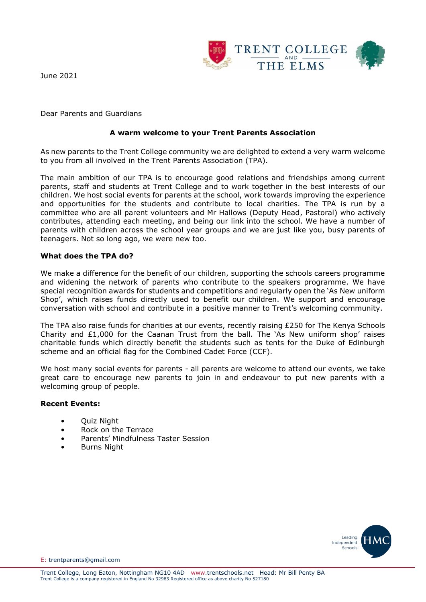

June 2021

Dear Parents and Guardians

## **A warm welcome to your Trent Parents Association**

As new parents to the Trent College community we are delighted to extend a very warm welcome to you from all involved in the Trent Parents Association (TPA).

The main ambition of our TPA is to encourage good relations and friendships among current parents, staff and students at Trent College and to work together in the best interests of our children. We host social events for parents at the school, work towards improving the experience and opportunities for the students and contribute to local charities. The TPA is run by a committee who are all parent volunteers and Mr Hallows (Deputy Head, Pastoral) who actively contributes, attending each meeting, and being our link into the school. We have a number of parents with children across the school year groups and we are just like you, busy parents of teenagers. Not so long ago, we were new too.

### **What does the TPA do?**

We make a difference for the benefit of our children, supporting the schools careers programme and widening the network of parents who contribute to the speakers programme. We have special recognition awards for students and competitions and regularly open the 'As New uniform Shop', which raises funds directly used to benefit our children. We support and encourage conversation with school and contribute in a positive manner to Trent's welcoming community.

The TPA also raise funds for charities at our events, recently raising £250 for The Kenya Schools Charity and  $£1,000$  for the Caanan Trust from the ball. The 'As New uniform shop' raises charitable funds which directly benefit the students such as tents for the Duke of Edinburgh scheme and an official flag for the Combined Cadet Force (CCF).

We host many social events for parents - all parents are welcome to attend our events, we take great care to encourage new parents to join in and endeavour to put new parents with a welcoming group of people.

### **Recent Events:**

- Quiz Night
- Rock on the Terrace
- Parents' Mindfulness Taster Session
- Burns Night



E: trentparents@gmail.com